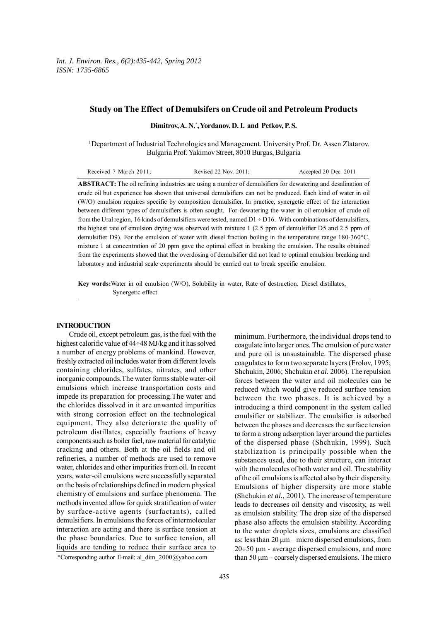# **Study on The Effect of Demulsifers on Crude oil and Petroleum Products**

**Dimitrov, A. N.\* , Yordanov, D. I. and Petkov, P. S.**

1 Department of Industrial Technologies and Management. University Prof. Dr. Assen Zlatarov. Bulgaria Prof. Yakimov Street, 8010 Burgas, Bulgaria

**ABSTRACT:** The oil refining industries are using a number of demulsifiers for dewatering and desalination of crude oil but experience has shown that universal demulsifiers can not be produced. Each kind of water in oil (W/O) emulsion requires specific by composition demulsifier. In practice, synergetic effect of the interaction between different types of demulsifiers is often sought. For dewatering the water in oil emulsion of crude oil from the Ural region, 16 kinds of demulsifiers were tested, named  $D1 \div D16$ . With combinations of demulsifiers, the highest rate of emulsion drying was observed with mixture 1 (2.5 ppm of demulsifier D5 and 2.5 ppm of demulsifier D9). For the emulsion of water with diesel fraction boiling in the temperature range 180-360°C, mixture 1 at concentration of 20 ppm gave the optimal effect in breaking the emulsion. The results obtained from the experiments showed that the overdosing of demulsifier did not lead to optimal emulsion breaking and laboratory and industrial scale experiments should be carried out to break specific emulsion.

**Key words:**Water in oil emulsion (W/O), Solubility in water, Rate of destruction, Diesel distillates, Synergetic effect

#### **INTRODUCTION**

Crude oil, except petroleum gas, is the fuel with the highest calorific value of 44÷48 MJ/kg and it has solved a number of energy problems of mankind. However, freshly extracted oil includes water from different levels containing chlorides, sulfates, nitrates, and other inorganic compounds.The water forms stable water-oil emulsions which increase transportation costs and impede its preparation for processing.The water and the chlorides dissolved in it are unwanted impurities with strong corrosion effect on the technological equipment. They also deteriorate the quality of petroleum distillates, especially fractions of heavy components such as boiler fuel, raw material for catalytic cracking and others. Both at the oil fields and oil refineries, a number of methods are used to remove water, chlorides and other impurities from oil. In recent years, water-oil emulsions were successfully separated on the basis of relationships defined in modern physical chemistry of emulsions and surface phenomena. The methods invented allow for quick stratification of water by surface-active agents (surfactants), called demulsifiers. In emulsions the forces of intermolecular interaction are acting and there is surface tension at the phase boundaries. Due to surface tension, all liquids are tending to reduce their surface area to

minimum. Furthermore, the individual drops tend to coagulate into larger ones. The emulsion of pure water and pure oil is unsustainable. The dispersed phase coagulates to form two separate layers (Frolov, 1995; Shchukin, 2006; Shchukin *et al.* 2006). The repulsion forces between the water and oil molecules can be reduced which would give reduced surface tension between the two phases. It is achieved by a introducing a third component in the system called emulsifier or stabilizer. The emulsifier is adsorbed between the phases and decreases the surface tension to form a strong adsorption layer around the particles of the dispersed phase (Shchukin, 1999). Such stabilization is principally possible when the substances used, due to their structure, can interact with the molecules of both water and oil. The stability of the oil emulsions is affected also by their dispersity. Emulsions of higher dispersity are more stable (Shchukin *et al.,* 2001). The increase of temperature leads to decreases oil density and viscosity, as well as emulsion stability. The drop size of the dispersed phase also affects the emulsion stability. According to the water droplets sizes, emulsions are classified as: less than  $20 \mu m$  – micro dispersed emulsions, from 20÷50 µm - average dispersed emulsions, and more than 50  $\mu$ m – coarsely dispersed emulsions. The micro

<sup>\*</sup>Corresponding author E-mail: al\_dim\_2000@yahoo.com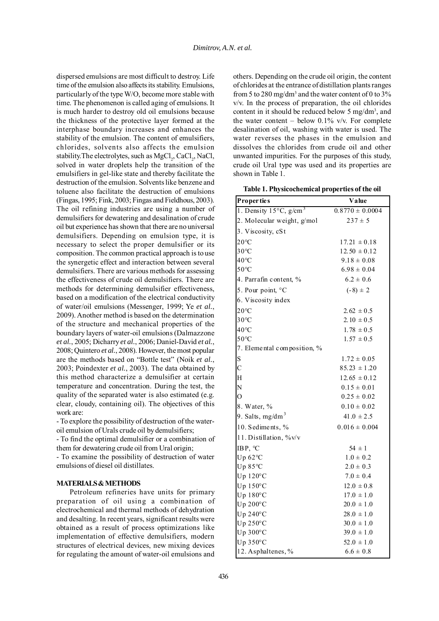dispersed emulsions are most difficult to destroy. Life time of the emulsion also affects its stability. Emulsions, particularly of the type W/O, become more stable with time. The phenomenon is called aging of emulsions. It is much harder to destroy old oil emulsions because the thickness of the protective layer formed at the interphase boundary increases and enhances the stability of the emulsion. The content of emulsifiers, chlorides, solvents also affects the emulsion stability. The electrolytes, such as  $MgCl_2$ , CaCl<sub>2</sub>, NaCl, solved in water droplets help the transition of the emulsifiers in gel-like state and thereby facilitate the destruction of the emulsion. Solvents like benzene and toluene also facilitate the destruction of emulsions (Fingas, 1995; Fink, 2003; Fingas and Fieldhous, 2003). The oil refining industries are using a number of demulsifiers for dewatering and desalination of crude oil but experience has shown that there are no universal demulsifiers. Depending on emulsion type, it is necessary to select the proper demulsifier or its composition. The common practical approach is to use the synergetic effect and interaction between several demulsifiers. There are various methods for assessing the effectiveness of crude oil demulsifiers. There are methods for determining demulsifier effectiveness, based on a modification of the electrical conductivity of water/oil emulsions (Messenger, 1999; Ye *et al.*, 2009). Another method is based on the determination of the structure and mechanical properties of the boundary layers of water-oil emulsions (Dalmazzone *et al.*, 2005; Dicharry *et al.*, 2006; Daniel-David *et al.*, 2008; Quintero *et al.*, 2008). However, the most popular are the methods based on "Bottle test" (Noik *et al.*, 2003; Poindexter *et al.*, 2003). The data obtained by this method characterize a demulsifier at certain temperature and concentration. During the test, the quality of the separated water is also estimated (e.g. clear, cloudy, containing oil). The objectives of this work are:

- To explore the possibility of destruction of the wateroil emulsion of Urals crude oil by demulsifiers;

- To find the optimal demulsifier or a combination of them for dewatering crude oil from Ural origin;

- To examine the possibility of destruction of water emulsions of diesel oil distillates.

# **MATERIALS & METHODS**

Petroleum refineries have units for primary preparation of oil using a combination of electrochemical and thermal methods of dehydration and desalting. In recent years, significant results were obtained as a result of process optimizations like implementation of effective demulsifiers, modern structures of electrical devices, new mixing devices for regulating the amount of water-oil emulsions and

others. Depending on the crude oil origin, the content of chlorides at the entrance of distillation plants ranges from 5 to 280 mg/dm<sup>3</sup> and the water content of 0 to 3% v/v. In the process of preparation, the oil chlorides content in it should be reduced below 5 mg/dm<sup>3</sup>, and the water content – below  $0.1\%$  v/v. For complete desalination of oil, washing with water is used. The water reverses the phases in the emulsion and dissolves the chlorides from crude oil and other unwanted impurities. For the purposes of this study, crude oil Ural type was used and its properties are shown in Table 1.

**Table 1. Physicochemical properties of the oil**

| <b>Properties</b>                            | Value               |  |  |
|----------------------------------------------|---------------------|--|--|
| 1. Density $15^{\circ}$ C, g/cm <sup>3</sup> | $0.8770 \pm 0.0004$ |  |  |
| 2. Molecular weight, g/mol                   | $237 \pm 5$         |  |  |
| 3. Viscosity, cSt                            |                     |  |  |
| $20^{\circ}$ C                               | $17.21 \pm 0.18$    |  |  |
| $30^{\circ}$ C                               | $12.50 \pm 0.12$    |  |  |
| 40°C                                         | $9.18 \pm 0.08$     |  |  |
| 50°C                                         | $6.98 \pm 0.04$     |  |  |
| 4. Parrafin content, %                       | $6.2 \pm 0.6$       |  |  |
| 5. Pour point, °C                            | $(-8) \pm 2$        |  |  |
| 6. Viscosity index                           |                     |  |  |
| $20^{\circ}$ C                               | $2.62 \pm 0.5$      |  |  |
| $30^{\circ}$ C                               | $2.10 \pm 0.5$      |  |  |
| 40°C                                         | $1.78 \pm 0.5$      |  |  |
| $50^{\circ}$ C                               | $1.57 \pm 0.5$      |  |  |
| 7. Elemental composition, %                  |                     |  |  |
| S                                            | $1.72 \pm 0.05$     |  |  |
| $\overline{C}$                               | $85.23 \pm 1.20$    |  |  |
| H                                            | $12.65 \pm 0.12$    |  |  |
| N                                            | $0.15 \pm 0.01$     |  |  |
| $\overline{O}$                               | $0.25 \pm 0.02$     |  |  |
| 8. Water, %                                  | $0.10 \pm 0.02$     |  |  |
| 9. Salts, mg/dm <sup>3</sup>                 | $41.0 \pm 2.5$      |  |  |
| 10. Sediments, %                             | $0.016 \pm 0.004$   |  |  |
| 11. Distillation, %v/v                       |                     |  |  |
| IBP, °C                                      | $54 \pm 1$          |  |  |
| Up $62^{\circ}$ C                            | $1.0 \pm 0.2$       |  |  |
| Up $85^{\circ}$ C                            | $2.0 \pm 0.3$       |  |  |
| Up $120^{\circ}$ C                           | $7.0 \pm 0.4$       |  |  |
| Up $150^{\circ}$ C                           | $12.0 \pm 0.8$      |  |  |
| Up $180^{\circ}$ C                           | $17.0 \pm 1.0$      |  |  |
| Up $200^{\circ}$ C                           | $20.0 \pm 1.0$      |  |  |
| Up $240^{\circ}$ C                           | $28.0 \pm 1.0$      |  |  |
| Up $250^{\circ}$ C                           | $30.0 \pm 1.0$      |  |  |
| Up $300^{\circ}$ C                           | $39.0 \pm 1.0$      |  |  |
| Up $350^{\circ}$ C                           | $52.0 \pm 1.0$      |  |  |
| 12. Asphaltenes, %                           | $6.6 \pm 0.8$       |  |  |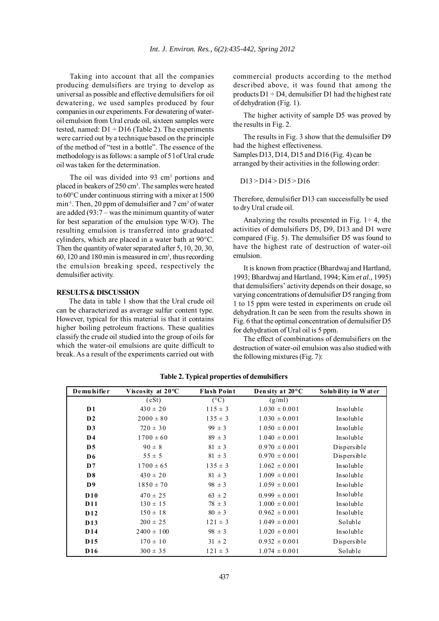Taking into account that all the companies producing demulsifiers are trying to develop as universal as possible and effective demulsifiers for oil dewatering, we used samples produced by four companies in our experiments. For dewatering of wateroil emulsion from Ural crude oil, sixteen samples were tested, named:  $D1 \div D16$  (Table 2). The experiments were carried out by a technique based on the principle of the method of "test in a bottle". The essence of the methodology is as follows: a sample of 5 l of Ural crude oil was taken for the determination.

The oil was divided into 93 cm<sup>3</sup> portions and placed in beakers of 250 cm<sup>3</sup>. The samples were heated to 60°C under continuous stirring with a mixer at 1500  $min^{-1}$ . Then, 20 ppm of demulsifier and 7 cm<sup>3</sup> of water are added (93:7 – was the minimum quantity of water for best separation of the emulsion type W/O). The resulting emulsion is transferred into graduated cylinders, which are placed in a water bath at 90°C. Then the quantity of water separated after 5, 10, 20, 30, 60, 120 and 180 min is measured in cm3 , thus recording the emulsion breaking speed, respectively the demulsifier activity.

# **RESULTS & DISCUSSION**

The data in table 1 show that the Ural crude oil can be characterized as average sulfur content type. However, typical for this material is that it contains higher boiling petroleum fractions. These qualities classify the crude oil studied into the group of oils for which the water-oil emulsions are quite difficult to break. As a result of the experiments carried out with commercial products according to the method described above, it was found that among the products  $D1 \div D4$ , demulsifier D1 had the highest rate of dehydration (Fig. 1).

The higher activity of sample D5 was proved by the results in Fig. 2.

The results in Fig. 3 show that the demulsifier D9 had the highest effectiveness. Samples D13, D14, D15 and D16 (Fig. 4) can be

arranged by their activities in the following order:

### D13 > D14 > D15 > D16

Therefore, demulsifier D13 can successfully be used to dry Ural crude oil.

Analyzing the results presented in Fig.  $1 \div 4$ , the activities of demulsifiers D5, D9, D13 and D1 were compared (Fig. 5). The demulsifier D5 was found to have the highest rate of destruction of water-oil emulsion.

It is known from practice (Bhardwaj and Hartland, 1993; Bhardwaj and Hartland, 1994; Kim *et al.,* 1995) that demulsifiers' activity depends on their dosage, so varying concentrations of demulsifier D5 ranging from 1 to 15 ppm were tested in experiments on crude oil dehydration.It can be seen from the results shown in Fig. 6 that the optimal concentration of demulsifier D5 for dehydration of Ural oil is 5 ppm.

The effect of combinations of demulsifiers on the destruction of water-oil emulsion was also studied with the following mixtures (Fig. 7):

| De mu lsifie r  | Viscosity at $20^{\circ}$ C | <b>Flash Point</b> | Density at $20^{\circ}$ C | Solubility in Water |
|-----------------|-----------------------------|--------------------|---------------------------|---------------------|
|                 | (cSt)                       | $(^{\circ}C)$      | (g/ml)                    |                     |
| D <sub>1</sub>  | $430 \pm 20$                | $115 \pm 3$        | $1.030 \pm 0.001$         | Insoluble           |
| $\mathbf{D2}$   | $2000 \pm 80$               | $135 \pm 3$        | $1.030 \pm 0.001$         | Insoluble           |
| D3              | $720 \pm 30$                | $99 \pm 3$         | $1.050 \pm 0.001$         | Insoluble           |
| D <sub>4</sub>  | $1700 \pm 60$               | $89 \pm 3$         | $1.040 \pm 0.001$         | Insoluble           |
| D <sub>5</sub>  | $90 \pm 8$                  | $81 \pm 3$         | $0.970 \pm 0.001$         | Dispersible         |
| D <sub>6</sub>  | $55 \pm 5$                  | $81 \pm 3$         | $0.970 \pm 0.001$         | Dispersible         |
| D7              | $1700 \pm 65$               | $135 \pm 3$        | $1.062 \pm 0.001$         | Insoluble           |
| D <sub>8</sub>  | $430 \pm 20$                | $81 \pm 3$         | $1.009 \pm 0.001$         | Insoluble           |
| D <sup>9</sup>  | $1850 \pm 70$               | $98 \pm 3$         | $1.059 \pm 0.001$         | Insoluble           |
| D10             | $470 \pm 25$                | $63 \pm 2$         | $0.999 \pm 0.001$         | Insoluble           |
| <b>D11</b>      | $130 \pm 15$                | $78 \pm 3$         | $1.000 \pm 0.001$         | Insoluble           |
| D <sub>12</sub> | $150 \pm 18$                | $80 \pm 3$         | $0.962 \pm 0.001$         | Insoluble           |
| D <sub>13</sub> | $200 \pm 25$                | $121 \pm 3$        | $1.049 \pm 0.001$         | Soluble             |
| D <sub>14</sub> | $2400 \pm 100$              | $98 \pm 3$         | $1.020 \pm 0.001$         | Insoluble           |
| D <sub>15</sub> | $170 \pm 10$                | $31 \pm 2$         | $0.932 \pm 0.001$         | Dispersible         |
| D <sub>16</sub> | $300 \pm 35$                | $121 \pm 3$        | $1.074 \pm 0.001$         | Soluble             |

**Table 2. Typical properties of demulsifiers**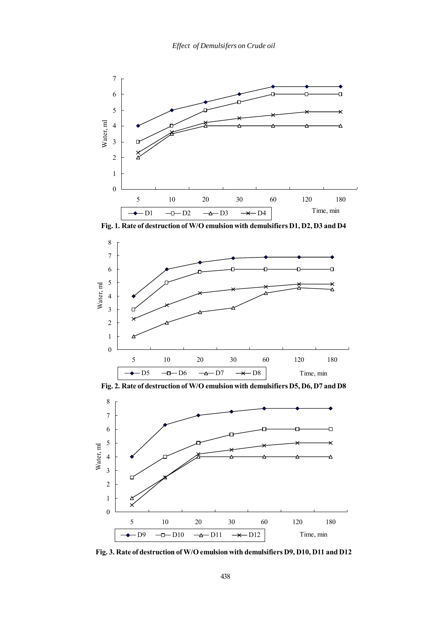

**Fig. 1. Rate of destruction of W/O emulsion with demulsifiers D1, D2, D3 and D4**



**Fig. 2. Rate of destruction of W/O emulsion with demulsifiers D5, D6, D7 and D8**



**Fig. 3. Rate of destruction of W/O emulsion with demulsifiers D9, D10, D11 and D12**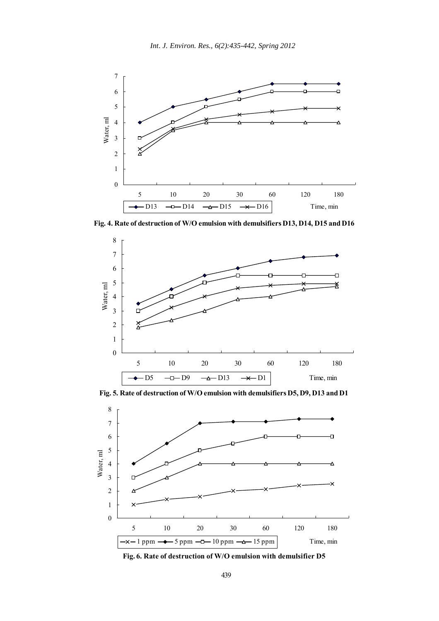

**Fig. 4. Rate of destruction of W/O emulsion with demulsifiers D13, D14, D15 and D16**



**Fig. 5. Rate of destruction of W/O emulsion with demulsifiers D5, D9, D13 and D1**



**Fig. 6. Rate of destruction of W/O emulsion with demulsifier D5**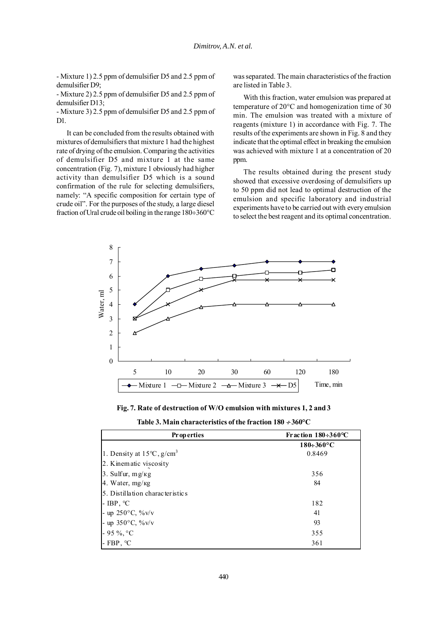- Mixture 1) 2.5 ppm of demulsifier D5 and 2.5 ppm of demulsifier D9;

- Mixture 2) 2.5 ppm of demulsifier D5 and 2.5 ppm of demulsifier D13;

- Mixture 3) 2.5 ppm of demulsifier D5 and 2.5 ppm of D<sub>1</sub>

It can be concluded from the results obtained with mixtures of demulsifiers that mixture 1 had the highest rate of drying of the emulsion. Comparing the activities of demulsifier D5 and mixture 1 at the same concentration (Fig. 7), mixture 1 obviously had higher activity than demulsifier D5 which is a sound confirmation of the rule for selecting demulsifiers, namely: "A specific composition for certain type of crude oil". For the purposes of the study, a large diesel fraction of Ural crude oil boiling in the range 180÷360°C

was separated. The main characteristics of the fraction are listed in Table 3.

With this fraction, water emulsion was prepared at temperature of 20°C and homogenization time of 30 min. The emulsion was treated with a mixture of reagents (mixture 1) in accordance with Fig. 7. The results of the experiments are shown in Fig. 8 and they indicate that the optimal effect in breaking the emulsion was achieved with mixture 1 at a concentration of 20 ppm.

The results obtained during the present study showed that excessive overdosing of demulsifiers up to 50 ppm did not lead to optimal destruction of the emulsion and specific laboratory and industrial experiments have to be carried out with every emulsion to select the best reagent and its optimal concentration.



**Fig. 7. Rate of destruction of W/O emulsion with mixtures 1, 2 and 3**

| <b>Properties</b>                               | Fraction $180 \div 360$ °C |  |
|-------------------------------------------------|----------------------------|--|
|                                                 | $180 \div 360$ °C          |  |
| 1. Density at $15^{\circ}$ C, g/cm <sup>3</sup> | 0.8469                     |  |
| 2. Kinematic viscosity                          |                            |  |
| 3. Sulfur, $mg/kg$                              | 356                        |  |
| 4. Water, $mg/kg$                               | 84                         |  |
| 5. Distillation characteristics                 |                            |  |
| - IBP, $^{\circ}C$                              | 182                        |  |
| - up $250^{\circ}$ C, $\%$ v/v                  | 41                         |  |
| - up $350^{\circ}$ C, $\frac{\%}{\%}$ v/v       | 93                         |  |
| $-95 \%$ , °C                                   | 355                        |  |
| - FBP, $^{\circ}C$                              | 361                        |  |

**Table 3. Main characteristics of the fraction 180** ÷ **360°C**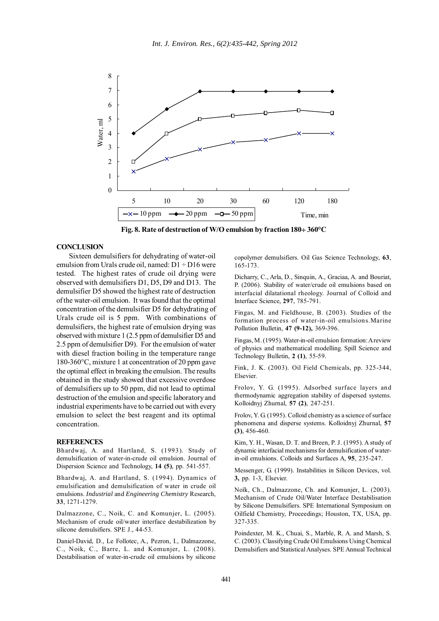

**Fig. 8. Rate of destruction of W/O emulsion by fraction 180**÷ **360°C**

### **CONCLUSION**

Sixteen demulsifiers for dehydrating of water-oil emulsion from Urals crude oil, named:  $D1 \div D16$  were tested. The highest rates of crude oil drying were observed with demulsifiers D1, D5, D9 and D13. The demulsifier D5 showed the highest rate of destruction of the water-oil emulsion. It was found that the optimal concentration of the demulsifier D5 for dehydrating of Urals crude oil is 5 ppm. With combinations of demulsifiers, the highest rate of emulsion drying was observed with mixture 1 (2.5 ppm of demulsifier D5 and 2.5 ppm of demulsifier D9). For the emulsion of water with diesel fraction boiling in the temperature range 180-360°C, mixture 1 at concentration of 20 ppm gave the optimal effect in breaking the emulsion. The results obtained in the study showed that excessive overdose of demulsifiers up to 50 ppm, did not lead to optimal destruction of the emulsion and specific laboratory and industrial experiments have to be carried out with every emulsion to select the best reagent and its optimal concentration.

#### **REFERENCES**

Bhardwaj, A. and Hartland, S. (1993). Study of demulsification of water-in-crude oil emulsion. Journal of Dispersion Science and Technology, **14 (5)**, pp. 541-557.

Bhardwaj, A. and Hartland, S. (1994). Dynamics of emulsification and demulsification of water in crude oil emulsions. *Industrial* and *Engineering Chemistry* Research, **33**, 1271-1279.

Dalmazzone, C., Noik, C. and Komunjer, L. (2005). Mechanism of crude oil/water interface destabilization by silicone demulsifiers. SPE J., 44-53.

Daniel-David, D., Le Follotec, A., Pezron, I., Dalmazzone, C., Noik, C., Barre, L. and Komunjer, L. (2008). Destabilisation of water-in-crude oil emulsions by silicone copolymer demulsifiers. Oil Gas Science Technology, **63**, 165-173.

Dicharry, C., Arla, D., Sinquin, A., Graciaa, A. and Bouriat, P. (2006). Stability of water/crude oil emulsions based on interfacial dilatational rheology. Journal of Colloid and Interface Science*,* **297**, 785-791.

Fingas, M. and Fieldhouse, B. (2003). Studies of the formation process of water-in-oil emulsions.Marine Pollution Bulletin, **47 (9-12),** 369-396.

Fingas, M. (1995). Water-in-oil emulsion formation: A review of physics and mathematical modelling. Spill Science and Technology Bulletin, **2 (1)**, 55-59.

Fink, J. K. (2003). Oil Field Chemicals, pp. 325-344, Elsevier.

Frolov, Y. G. (1995). Adsorbed surface layers and thermodynamic aggregation stability of dispersed systems. Kolloidnyj Zhurnal, **57 (2)**, 247-251.

Frolov, Y. G. (1995). Colloid chemistry as a science of surface phenomena and disperse systems. Kolloidnyj Zhurnal, **57 (3)**, 456-460.

Kim, Y. H., Wasan, D. T. and Breen, P. J. (1995). A study of dynamic interfacial mechanisms for demulsification of waterin-oil emulsions. Colloids and Surfaces A*,* **95**, 235-247.

Messenger, G. (1999). Instabilities in Silicon Devices, vol. **3,** pp. 1-3, Elsevier.

Noïk, Ch., Dalmazzone, Ch. and Komunjer, L. (2003). Mechanism of Crude Oil/Water Interface Destabilisation by Silicone Demulsifiers. SPE International Symposium on Oilfield Chemistry, Proceedings; Houston, TX, USA, pp. 327-335.

Poindexter, M. K., Chuai, S., Marble, R. A. and Marsh, S. C. (2003). Classifying Crude Oil Emulsions Using Chemical Demulsifiers and Statistical Analyses. SPE Annual Technical